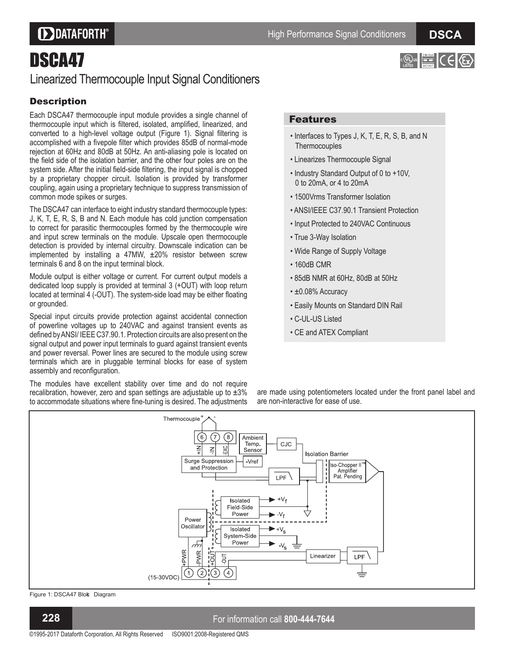### **DDATAFORTH®**

# DSCA47

### Linearized Thermocouple Input Signal Conditioners

### **Description**

Each DSCA47 thermocouple input module provides a single channel of thermocouple input which is filtered, isolated, amplified, linearized, and converted to a high-level voltage output (Figure 1). Signal filtering is accomplished with a fivepole filter which provides 85dB of normal-mode rejection at 60Hz and 80dB at 50Hz. An anti-aliasing pole is located on the field side of the isolation barrier, and the other four poles are on the system side. After the initial field-side filtering, the input signal is chopped by a proprietary chopper circuit. Isolation is provided by transformer coupling, again using a proprietary technique to suppress transmission of common mode spikes or surges.

The DSCA47 can interface to eight industry standard thermocouple types: J, K, T, E, R, S, B and N. Each module has cold junction compensation to correct for parasitic thermocouples formed by the thermocouple wire and input screw terminals on the module. Upscale open thermocouple detection is provided by internal circuitry. Downscale indication can be implemented by installing a 47MW,  $\pm 20\%$  resistor between screw terminals 6 and 8 on the input terminal block.

Module output is either voltage or current. For current output models a dedicated loop supply is provided at terminal 3 (+OUT) with loop return located at terminal 4 (-OUT). The system-side load may be either floating or grounded.

Special input circuits provide protection against accidental connection of powerline voltages up to 240VAC and against transient events as defined by ANSI/IEEE C37.90.1. Protection circuits are also present on the signal output and power input terminals to guard against transient events and power reversal. Power lines are secured to the module using screw terminals which are in pluggable terminal blocks for ease of system assembly and reconfiguration.

The modules have excellent stability over time and do not require recalibration, however, zero and span settings are adjustable up to  $\pm 3\%$ to accommodate situations where fine-tuning is desired. The adjustments

#### Features

- Interfaces to Types J, K, T, E, R, S, B, and N **Thermocouples**
- Linearizes Thermocouple Signal
- Industry Standard Output of 0 to +10V, 0 to 20mA, or 4 to 20mA
- 1500Vrms Transformer Isolation
- ANSI/IEEE C37.90.1 Transient Protection
- Input Protected to 240VAC Continuous
- True 3-Way Isolation
- Wide Range of Supply Voltage
- 160dB CMR
- 85dB NMR at 60Hz, 80dB at 50Hz
- $\cdot$  ±0.08% Accuracy
- Easily Mounts on Standard DIN Rail
- C-UL-US Listed
- CE and ATEX Compliant

are made using potentiometers located under the front panel label and are non-interactive for ease of use.



Figure 1: DSCA47 Blok Diagram